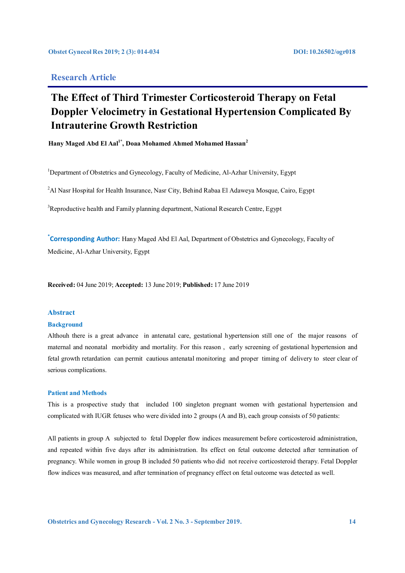# **Research Article**

# **The Effect of Third Trimester Corticosteroid Therapy on Fetal Doppler Velocimetry in Gestational Hypertension Complicated By Intrauterine Growth Restriction**

**Hany Maged Abd El Aal1\*, Doaa Mohamed Ahmed Mohamed Hassan2**

<sup>1</sup>Department of Obstetrics and Gynecology, Faculty of Medicine, Al-Azhar University, Egypt

 $^2$ Al Nasr Hospital for Health Insurance, Nasr City, Behind Rabaa El Adaweya Mosque, Cairo, Egypt

 $3$ Reproductive health and Family planning department, National Research Centre, Egypt

**\* Corresponding Author:** Hany Maged Abd El Aal, Department of Obstetrics and Gynecology, Faculty of Medicine, Al-Azhar University, Egypt

**Received:** 04 June 2019; **Accepted:** 13 June 2019; **Published:** 17 June 2019

### **Abstract**

#### **Background**

Althouh there is a great advance in antenatal care, gestational hypertension still one of the major reasons of maternal and neonatal morbidity and mortality. For this reason , early screening of gestational hypertension and fetal growth retardation can permit cautious antenatal monitoring and proper timing of delivery to steer clear of serious complications.

#### **Patient and Methods**

This is a prospective study that included 100 singleton pregnant women with gestational hypertension and complicated with IUGR fetuses who were divided into 2 groups (A and B), each group consists of 50 patients:

All patients in group A subjected to fetal Doppler flow indices measurement before corticosteroid administration, and repeated within five days after its administration. Its effect on fetal outcome detected after termination of pregnancy. While women in group B included 50 patients who did not receive corticosteroid therapy. Fetal Doppler flow indices was measured, and after termination of pregnancy effect on fetal outcome was detected as well.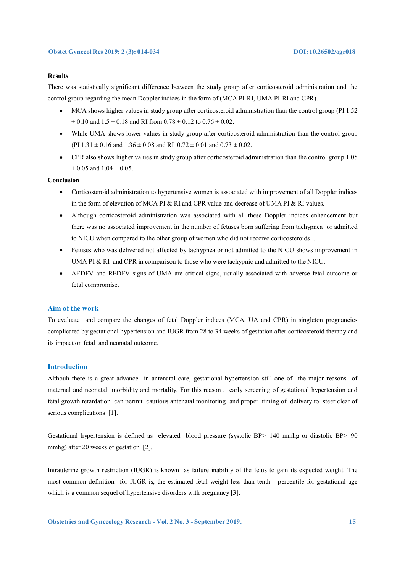#### **Results**

There was statistically significant difference between the study group after corticosteroid administration and the control group regarding the mean Doppler indices in the form of (MCA PI-RI, UMA PI-RI and CPR).

- MCA shows higher values in study group after corticosteroid administration than the control group (PI 1.52  $\pm$  0.10 and 1.5  $\pm$  0.18 and RI from 0.78  $\pm$  0.12 to 0.76  $\pm$  0.02.
- While UMA shows lower values in study group after corticosteroid administration than the control group (PI  $1.31 \pm 0.16$  and  $1.36 \pm 0.08$  and RI  $0.72 \pm 0.01$  and  $0.73 \pm 0.02$ .
- CPR also shows higher values in study group after corticosteroid administration than the control group 1.05  $\pm$  0.05 and 1.04  $\pm$  0.05.

#### **Conclusion**

- Corticosteroid administration to hypertensive women is associated with improvement of all Doppler indices in the form of elevation of MCA PI & RI and CPR value and decrease of UMA PI & RI values.
- Although corticosteroid administration was associated with all these Doppler indices enhancement but there was no associated improvement in the number of fetuses born suffering from tachypnea or admitted to NICU when compared to the other group of women who did not receive corticosteroids .
- Fetuses who was delivered not affected by tachypnea or not admitted to the NICU shows improvement in UMA PI & RI and CPR in comparison to those who were tachypnic and admitted to the NICU.
- AEDFV and REDFV signs of UMA are critical signs, usually associated with adverse fetal outcome or fetal compromise.

#### **Aim of the work**

To evaluate and compare the changes of fetal Doppler indices (MCA, UA and CPR) in singleton pregnancies complicated by gestational hypertension and IUGR from 28 to 34 weeks of gestation after corticosteroid therapy and its impact on fetal and neonatal outcome.

#### **Introduction**

Althouh there is a great advance in antenatal care, gestational hypertension still one of the major reasons of maternal and neonatal morbidity and mortality. For this reason , early screening of gestational hypertension and fetal growth retardation can permit cautious antenatal monitoring and proper timing of delivery to steer clear of serious complications [1].

Gestational hypertension is defined as elevated blood pressure (systolic BP>=140 mmhg or diastolic BP>=90 mmhg) after 20 weeks of gestation [2].

Intrauterine growth restriction (IUGR) is known as failure inability of the fetus to gain its expected weight. The most common definition for IUGR is, the estimated fetal weight less than tenth percentile for gestational age which is a common sequel of hypertensive disorders with pregnancy [3].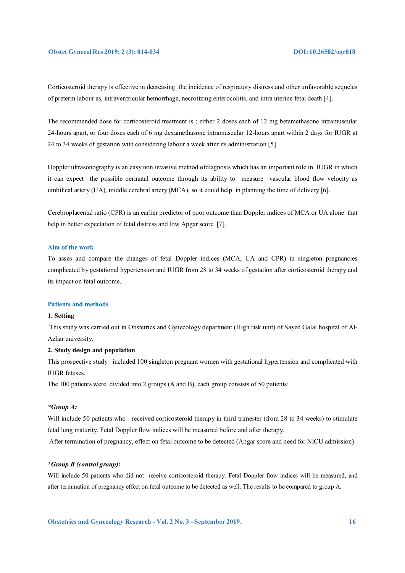Corticosteroid therapy is effective in decreasing the incidence of respiratory distress and other unfavorable sequeles of preterm labour as, intraventricular hemorrhage, necrotizing enterocolitis, and intra uterine fetal death [4].

The recommended dose for corticosteroid treatment is ; either 2 doses each of 12 mg betamethasone intramuscular 24-hours apart, or four doses each of 6 mg dexamethasone intramuscular 12-hours apart within 2 days for IUGR at 24 to 34 weeks of gestation with considering labour a week after its administration [5].

Doppler ultrasonography is an easy non invasive method ofdiagnosis which has an important role in IUGR in which it can expect the possible perinatal outcome through its ability to measure vascular blood flow velocity as umbilical artery (UA), middle cerebral artery (MCA), so it could help in planning the time of delivery [6].

Cerebroplacental ratio (CPR) is an earlier predictor of poor outcome than Doppler indices of MCA or UA alone that help in better expectation of fetal distress and low Apgar score [7].

#### **Aim of the work**

To asses and compare the changes of fetal Doppler indices (MCA, UA and CPR) in singleton pregnancies complicated by gestational hypertension and IUGR from 28 to 34 weeks of gestation after corticosteroid therapy and its impact on fetal outcome.

#### **Patients and methods**

### **1. Setting**

 This study was carried out in Obstetrics and Gynecology department (High risk unit) of Sayed Galal hospital of Al-Azhar university.

#### **2. Study design and population**

This prospective study included 100 singleton pregnant women with gestational hypertension and complicated with IUGR fetuses.

The 100 patients were divided into 2 groups (A and B), each group consists of 50 patients:

#### *\*Group A:*

Will include 50 patients who received corticosteroid therapy in third trimester (from 28 to 34 weeks) to stimulate fetal lung maturity. Fetal Doppler flow indices will be measured before and after therapy.

After termination of pregnancy, effect on fetal outcome to be detected (Apgar score and need for NICU admission).

### **\****Group B (control group)***:**

Will include 50 patients who did not receive corticosteroid therapy. Fetal Doppler flow indices will be measured, and after termination of pregnancy effect on fetal outcome to be detected as well. The results to be compared to group A.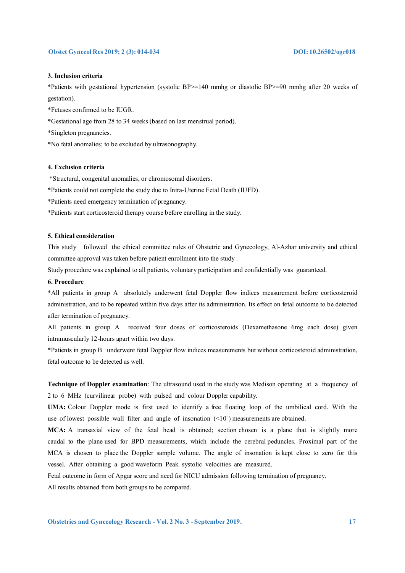#### **3. Inclusion criteria**

\*Patients with gestational hypertension (systolic BP>=140 mmhg or diastolic BP>=90 mmhg after 20 weeks of gestation).

\*Fetuses confirmed to be IUGR.

\*Gestational age from 28 to 34 weeks (based on last menstrual period).

\*Singleton pregnancies.

\*No fetal anomalies; to be excluded by ultrasonography.

#### **4. Exclusion criteria**

\*Structural, congenital anomalies, or chromosomal disorders.

\*Patients could not complete the study due to Intra-Uterine Fetal Death (IUFD).

\*Patients need emergency termination of pregnancy.

\*Patients start corticosteroid therapy course before enrolling in the study.

### **5. Ethical consideration**

This study followed the ethical committee rules of Obstetric and Gynecology, Al-Azhar university and ethical committee approval was taken before patient enrollment into the study .

Study procedure was explained to all patients, voluntary participation and confidentially was guaranteed.

### **6. Procedure**

\*All patients in group A absolutely underwent fetal Doppler flow indices measurement before corticosteroid administration, and to be repeated within five days after its administration. Its effect on fetal outcome to be detected after termination of pregnancy.

All patients in group A received four doses of corticosteroids (Dexamethasone 6mg each dose) given intramuscularly 12-hours apart within two days.

\*Patients in group B underwent fetal Doppler flow indices measurements but without corticosteroid administration, fetal outcome to be detected as well.

**Technique of Doppler examination**: The ultrasound used in the study was Medison operating at a frequency of 2 to 6 MHz (curvilinear probe) with pulsed and colour Doppler capability.

**UMA:** Colour Doppler mode is first used to identify a free floating loop of the umbilical cord. With the use of lowest possible wall filter and angle of insonation (<10˚) measurements are obtained.

**MCA:** A transaxial view of the fetal head is obtained; section chosen is a plane that is slightly more caudal to the plane used for BPD measurements, which include the cerebral peduncles. Proximal part of the MCA is chosen to place the Doppler sample volume. The angle of insonation is kept close to zero for this vessel. After obtaining a good waveform Peak systolic velocities are measured.

Fetal outcome in form of Apgar score and need for NICU admission following termination of pregnancy.

All results obtained from both groups to be compared.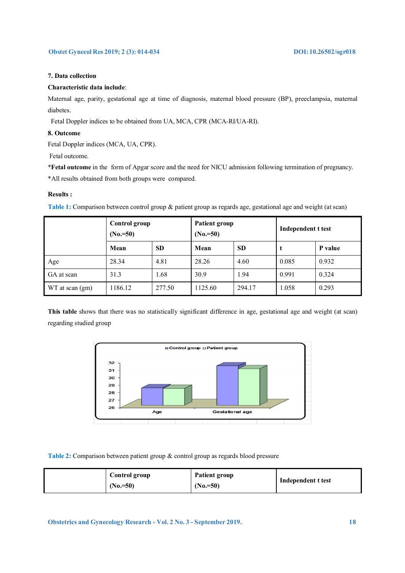#### **7. Data collection**

#### **Characteristic data include**:

Maternal age, parity, gestational age at time of diagnosis, maternal blood pressure (BP), preeclampsia, maternal diabetes.

Fetal Doppler indices to be obtained from UA, MCA, CPR (MCA-RI/UA-RI).

#### **8. Outcome**

Fetal Doppler indices (MCA, UA, CPR).

Fetal outcome.

\***Fetal outcome** in the form of Apgar score and the need for NICU admission following termination of pregnancy.

\*All results obtained from both groups were compared.

#### **Results :**

**Table 1:** Comparison between control group & patient group as regards age, gestational age and weight (at scan)

|                 | Control group<br>$(N_0 = 50)$ |           | <b>Patient group</b><br>$(No = 50)$ |           | Independent t test |         |
|-----------------|-------------------------------|-----------|-------------------------------------|-----------|--------------------|---------|
|                 | Mean                          | <b>SD</b> | Mean                                | <b>SD</b> | t                  | P value |
| Age             | 28.34                         | 4.81      | 28.26                               | 4.60      | 0.085              | 0.932   |
| GA at scan      | 31.3                          | 1.68      | 30.9                                | 1.94      | 0.991              | 0.324   |
| WT at scan (gm) | 1186.12                       | 277.50    | 1125.60                             | 294.17    | 1.058              | 0.293   |

**This table** shows that there was no statistically significant difference in age, gestational age and weight (at scan) regarding studied group



**Table 2:** Comparison between patient group & control group as regards blood pressure

| Control group<br>$(N_0 = 50)$ | Patient group<br>$(N_0=50)$ | Independent t test |
|-------------------------------|-----------------------------|--------------------|
|-------------------------------|-----------------------------|--------------------|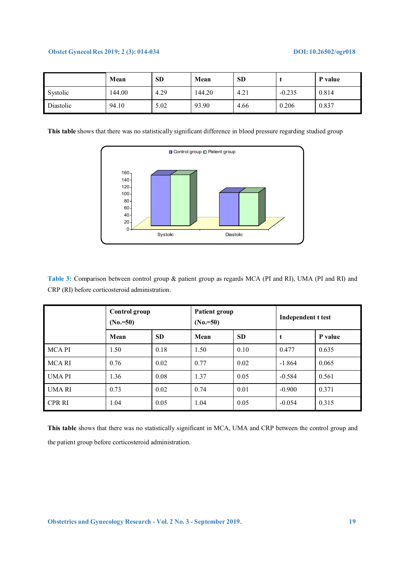|           | Mean   | <b>SD</b> | Mean   | <b>SD</b> |          | P value |
|-----------|--------|-----------|--------|-----------|----------|---------|
| Systolic  | 144.00 | 4.29      | 144.20 | 4.21      | $-0.235$ | 0.814   |
| Diastolic | 94.10  | 5.02      | 93.90  | 4.66      | 0.206    | 0.837   |

**This table** shows that there was no statistically significant difference in blood pressure regarding studied group



**Table 3:** Comparison between control group & patient group as regards MCA (PI and RI), UMA (PI and RI) and CRP (RI) before corticosteroid administration.

|               | Control group<br>$(N_0 = 50)$ |           | <b>Patient group</b><br>$(No = 50)$ |           | Independent t test |         |
|---------------|-------------------------------|-----------|-------------------------------------|-----------|--------------------|---------|
|               | Mean                          | <b>SD</b> | Mean                                | <b>SD</b> | t                  | P value |
| <b>MCAPI</b>  | 1.50                          | 0.18      | 1.50                                | 0.10      | 0.477              | 0.635   |
| <b>MCARI</b>  | 0.76                          | 0.02      | 0.77                                | 0.02      | $-1.864$           | 0.065   |
| <b>UMAPI</b>  | 1.36                          | 0.08      | 1.37                                | 0.05      | $-0.584$           | 0.561   |
| UMA RI        | 0.73                          | 0.02      | 0.74                                | 0.01      | $-0.900$           | 0.371   |
| <b>CPR RI</b> | 1.04                          | 0.05      | 1.04                                | 0.05      | $-0.054$           | 0.315   |

**This table** shows that there was no statistically significant in MCA, UMA and CRP between the control group and the patient group before corticosteroid administration.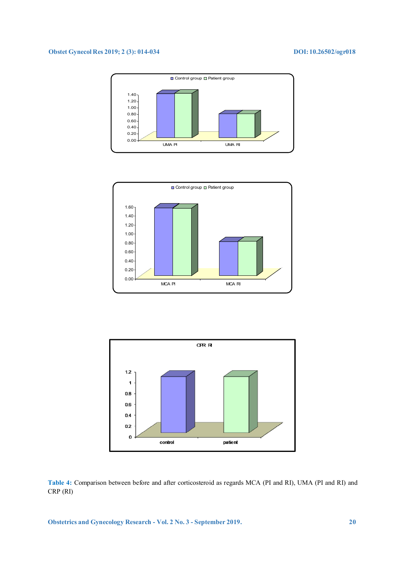





**Table 4:** Comparison between before and after corticosteroid as regards MCA (PI and RI), UMA (PI and RI) and CRP (RI)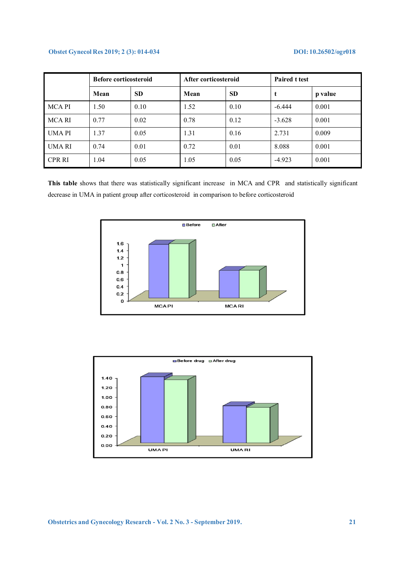|               | <b>Before corticosteroid</b> |           | After corticosteroid |           | <b>Paired t test</b> |         |
|---------------|------------------------------|-----------|----------------------|-----------|----------------------|---------|
|               | Mean                         | <b>SD</b> | Mean                 | <b>SD</b> | t                    | p value |
| <b>MCAPI</b>  | 1.50                         | 0.10      | 1.52                 | 0.10      | $-6.444$             | 0.001   |
| MCA RI        | 0.77                         | 0.02      | 0.78                 | 0.12      | $-3.628$             | 0.001   |
| <b>UMAPI</b>  | 1.37                         | 0.05      | 1.31                 | 0.16      | 2.731                | 0.009   |
| <b>UMARI</b>  | 0.74                         | 0.01      | 0.72                 | 0.01      | 8.088                | 0.001   |
| <b>CPR RI</b> | 1.04                         | 0.05      | 1.05                 | 0.05      | $-4.923$             | 0.001   |

**This table** shows that there was statistically significant increase in MCA and CPR and statistically significant decrease in UMA in patient group after corticosteroid in comparison to before corticosteroid



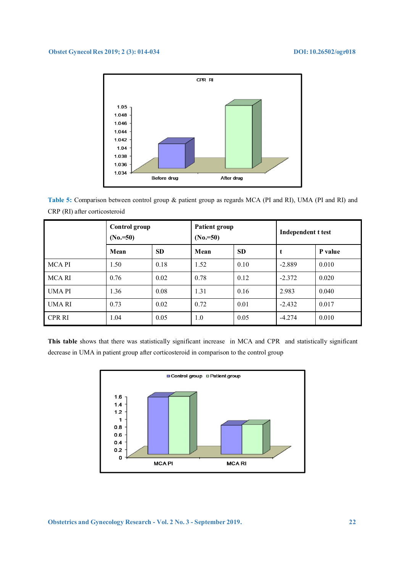

**Table 5:** Comparison between control group & patient group as regards MCA (PI and RI), UMA (PI and RI) and CRP (RI) after corticosteroid

|               | <b>Control group</b><br>$(N_0 = 50)$ |           | <b>Patient group</b><br>$(N_0=50)$ |           | Independent t test |         |
|---------------|--------------------------------------|-----------|------------------------------------|-----------|--------------------|---------|
|               | Mean                                 | <b>SD</b> | Mean                               | <b>SD</b> | t                  | P value |
| <b>MCAPI</b>  | 1.50                                 | 0.18      | 1.52                               | 0.10      | $-2.889$           | 0.010   |
| <b>MCARI</b>  | 0.76                                 | 0.02      | 0.78                               | 0.12      | $-2.372$           | 0.020   |
| <b>UMAPI</b>  | 1.36                                 | 0.08      | 1.31                               | 0.16      | 2.983              | 0.040   |
| <b>UMARI</b>  | 0.73                                 | 0.02      | 0.72                               | 0.01      | $-2.432$           | 0.017   |
| <b>CPR RI</b> | 1.04                                 | 0.05      | 1.0                                | 0.05      | $-4.274$           | 0.010   |

**This table** shows that there was statistically significant increase in MCA and CPR and statistically significant decrease in UMA in patient group after corticosteroid in comparison to the control group

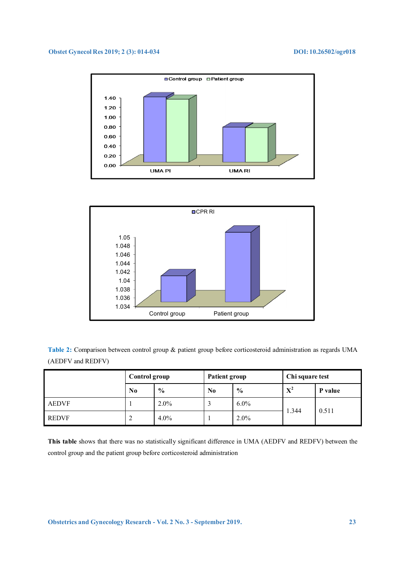



**Table 2:** Comparison between control group & patient group before corticosteroid administration as regards UMA (AEDFV and REDFV)

|              | Control group |         | Patient group  |               | Chi square test |         |
|--------------|---------------|---------|----------------|---------------|-----------------|---------|
|              | $\bf No$      | $\%$    | N <sub>0</sub> | $\frac{6}{9}$ | ${\bf X}^2$     | P value |
| <b>AEDVF</b> |               | $2.0\%$ |                | $6.0\%$       | 1.344           | 0.511   |
| <b>REDVF</b> | ∠             | $4.0\%$ |                | $2.0\%$       |                 |         |

**This table** shows that there was no statistically significant difference in UMA (AEDFV and REDFV) between the control group and the patient group before corticosteroid administration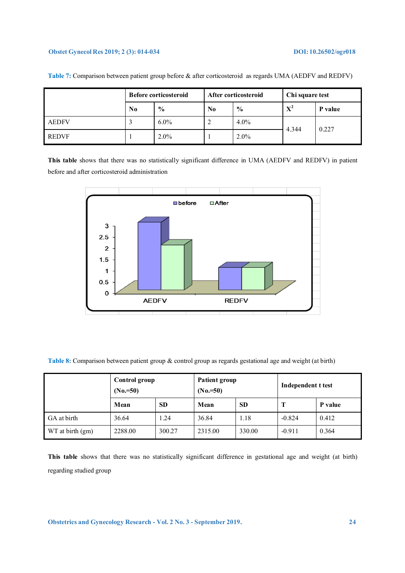|              |          | <b>Before corticosteroid</b> | After corticosteroid<br>Chi square test |         |       |         |
|--------------|----------|------------------------------|-----------------------------------------|---------|-------|---------|
|              | $\bf No$ | $\frac{0}{0}$                | N <sub>0</sub>                          | $\%$    | $X^2$ | P value |
| <b>AEDFV</b> | J.       | $6.0\%$                      |                                         | $4.0\%$ | 4.344 | 0.227   |
| <b>REDVF</b> |          | $2.0\%$                      |                                         | $2.0\%$ |       |         |

**Table 7:** Comparison between patient group before & after corticosteroid as regards UMA (AEDFV and REDFV)

**This table** shows that there was no statistically significant difference in UMA (AEDFV and REDFV) in patient before and after corticosteroid administration



**Table 8:** Comparison between patient group & control group as regards gestational age and weight (at birth)

|                  | Control group<br>$(N_0=50)$ |           | Patient group<br>$(N_0=50)$ |           | Independent t test |         |
|------------------|-----------------------------|-----------|-----------------------------|-----------|--------------------|---------|
|                  | Mean                        | <b>SD</b> | Mean                        | <b>SD</b> | Т                  | P value |
| GA at birth      | 36.64                       | 1.24      | 36.84                       | 1.18      | $-0.824$           | 0.412   |
| WT at birth (gm) | 2288.00<br>300.27           |           | 2315.00                     | 330.00    | $-0.911$           | 0.364   |

**This table** shows that there was no statistically significant difference in gestational age and weight (at birth) regarding studied group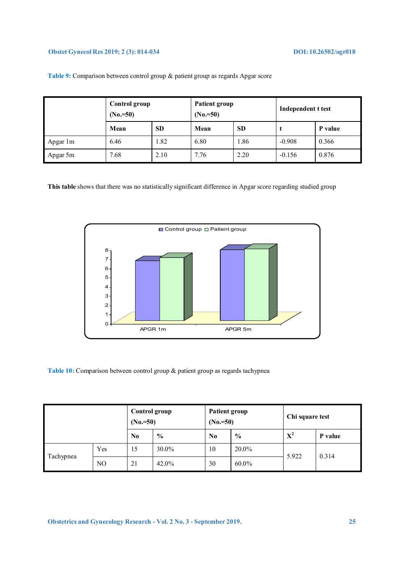|          | Control group<br>$(N_0 = 50)$ |           | <b>Patient group</b><br>$(N_0=50)$ |           | Independent t test |         |
|----------|-------------------------------|-----------|------------------------------------|-----------|--------------------|---------|
|          | Mean                          | <b>SD</b> | Mean                               | <b>SD</b> |                    | P value |
| Apgar 1m | 6.46                          | 1.82      | 6.80                               | 1.86      | $-0.908$           | 0.366   |
| Apgar 5m | 7.68                          | 2.10      | 7.76                               | 2.20      | $-0.156$           | 0.876   |

**Table 9:** Comparison between control group & patient group as regards Apgar score

**This table** shows that there was no statistically significant difference in Apgar score regarding studied group



Table 10: Comparison between control group & patient group as regards tachypnea

|           |                | Control group<br>$(N_0=50)$ |               | <b>Patient group</b><br>$(N_0=50)$ |               | Chi square test |         |
|-----------|----------------|-----------------------------|---------------|------------------------------------|---------------|-----------------|---------|
|           |                | N <sub>0</sub>              | $\frac{6}{6}$ | N <sub>0</sub>                     | $\frac{0}{0}$ | $X^2$           | P value |
| Tachypnea | Yes            | 15                          | 30.0%         | 10                                 | 20.0%         | 5.922           |         |
|           | N <sub>O</sub> | 21                          | 42.0%         | 30                                 | $60.0\%$      |                 | 0.314   |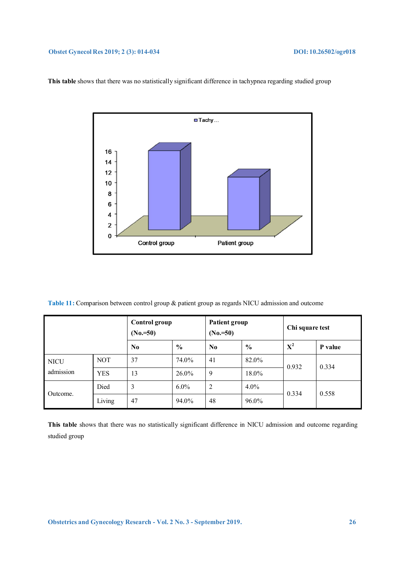

**This table** shows that there was no statistically significant difference in tachypnea regarding studied group

**Table 11:** Comparison between control group & patient group as regards NICU admission and outcome

|             |            | Control group<br>$(N_0=50)$ |               | Patient group<br>$(N_0=50)$ |               | Chi square test |         |
|-------------|------------|-----------------------------|---------------|-----------------------------|---------------|-----------------|---------|
|             |            | $\bf No$                    | $\frac{6}{6}$ | N <sub>0</sub>              | $\frac{0}{0}$ | $X^2$           | P value |
| <b>NICU</b> | <b>NOT</b> | 37                          | 74.0%         | 41                          | 82.0%         | 0.932           | 0.334   |
| admission   | <b>YES</b> | 13                          | $26.0\%$      | 9                           | 18.0%         |                 |         |
| Outcome.    | Died       | 3                           | $6.0\%$       | 2                           | $4.0\%$       | 0.334           | 0.558   |
|             | Living     | 47                          | 94.0%         | 48                          | 96.0%         |                 |         |

**This table** shows that there was no statistically significant difference in NICU admission and outcome regarding studied group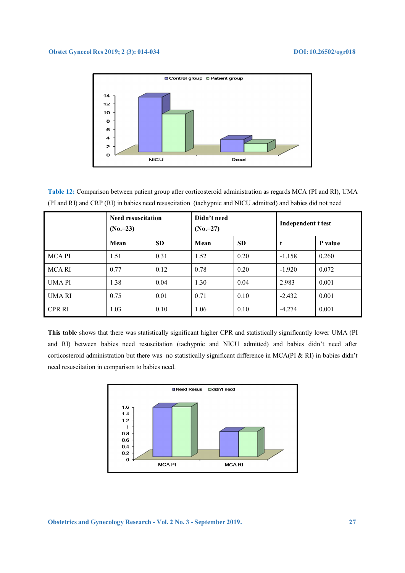

**Table 12:** Comparison between patient group after corticosteroid administration as regards MCA (PI and RI), UMA (PI and RI) and CRP (RI) in babies need resuscitation (tachypnic and NICU admitted) and babies did not need

|               | <b>Need resuscitation</b><br>$(N_0=23)$ |           | Didn't need<br>$(N_0=27)$ |           | Independent t test |         |
|---------------|-----------------------------------------|-----------|---------------------------|-----------|--------------------|---------|
|               | Mean                                    | <b>SD</b> | Mean                      | <b>SD</b> | t                  | P value |
| <b>MCAPI</b>  | 1.51                                    | 0.31      | 1.52                      | 0.20      | $-1.158$           | 0.260   |
| <b>MCARI</b>  | 0.77                                    | 0.12      | 0.78                      | 0.20      | $-1.920$           | 0.072   |
| <b>UMAPI</b>  | 1.38                                    | 0.04      | 1.30                      | 0.04      | 2.983              | 0.001   |
| <b>UMARI</b>  | 0.75                                    | 0.01      | 0.71                      | 0.10      | $-2.432$           | 0.001   |
| <b>CPR RI</b> | 1.03                                    | 0.10      | 1.06                      | 0.10      | $-4.274$           | 0.001   |

**This table** shows that there was statistically significant higher CPR and statistically significantly lower UMA (PI and RI) between babies need resuscitation (tachypnic and NICU admitted) and babies didn't need after corticosteroid administration but there was no statistically significant difference in MCA(PI & RI) in babies didn't need resuscitation in comparison to babies need.

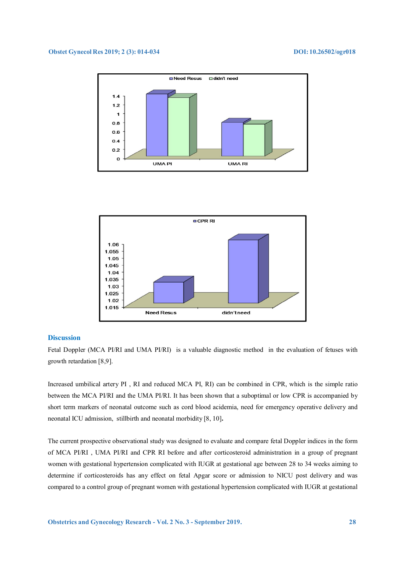



### **Discussion**

Fetal Doppler (MCA PI/RI and UMA PI/RI) is a valuable diagnostic method in the evaluation of fetuses with growth retardation [8,9].

Increased umbilical artery PI , RI and reduced MCA PI, RI) can be combined in CPR, which is the simple ratio between the MCA PI/RI and the UMA PI/RI. It has been shown that a suboptimal or low CPR is accompanied by short term markers of neonatal outcome such as cord blood acidemia, need for emergency operative delivery and neonatal ICU admission, stillbirth and neonatal morbidity [8, 10]**.**

The current prospective observational study was designed to evaluate and compare fetal Doppler indices in the form of MCA PI/RI , UMA PI/RI and CPR RI before and after corticosteroid administration in a group of pregnant women with gestational hypertension complicated with IUGR at gestational age between 28 to 34 weeks aiming to determine if corticosteroids has any effect on fetal Apgar score or admission to NICU post delivery and was compared to a control group of pregnant women with gestational hypertension complicated with IUGR at gestational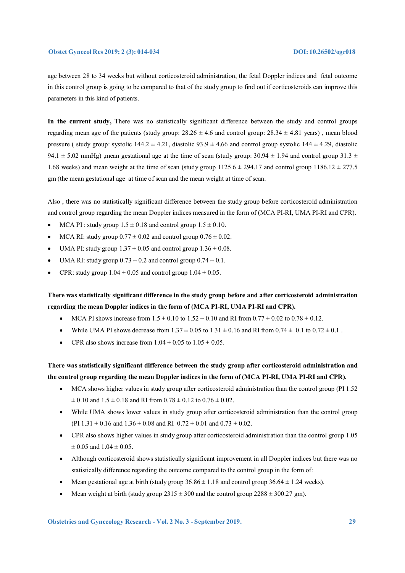age between 28 to 34 weeks but without corticosteroid administration, the fetal Doppler indices and fetal outcome in this control group is going to be compared to that of the study group to find out if corticosteroids can improve this parameters in this kind of patients.

**In the current study,** There was no statistically significant difference between the study and control groups regarding mean age of the patients (study group:  $28.26 \pm 4.6$  and control group:  $28.34 \pm 4.81$  years), mean blood pressure ( study group: systolic  $144.2 \pm 4.21$ , diastolic  $93.9 \pm 4.66$  and control group systolic  $144 \pm 4.29$ , diastolic 94.1  $\pm$  5.02 mmHg), mean gestational age at the time of scan (study group: 30.94  $\pm$  1.94 and control group 31.3  $\pm$ 1.68 weeks) and mean weight at the time of scan (study group  $1125.6 \pm 294.17$  and control group  $1186.12 \pm 277.5$ gm (the mean gestational age at time of scan and the mean weight at time of scan.

Also , there was no statistically significant difference between the study group before corticosteroid administration and control group regarding the mean Doppler indices measured in the form of (MCA PI-RI, UMA PI-RI and CPR).

- MCA PI : study group  $1.5 \pm 0.18$  and control group  $1.5 \pm 0.10$ .
- MCA RI: study group  $0.77 \pm 0.02$  and control group  $0.76 \pm 0.02$ .
- UMA PI: study group  $1.37 \pm 0.05$  and control group  $1.36 \pm 0.08$ .
- UMA RI: study group  $0.73 \pm 0.2$  and control group  $0.74 \pm 0.1$ .
- CPR: study group  $1.04 \pm 0.05$  and control group  $1.04 \pm 0.05$ .

**There was statistically significant difference in the study group before and after corticosteroid administration regarding the mean Doppler indices in the form of (MCA PI-RI, UMA PI-RI and CPR).** 

- MCA PI shows increase from  $1.5 \pm 0.10$  to  $1.52 \pm 0.10$  and RI from  $0.77 \pm 0.02$  to  $0.78 \pm 0.12$ .
- While UMA PI shows decrease from  $1.37 \pm 0.05$  to  $1.31 \pm 0.16$  and RI from  $0.74 \pm 0.1$  to  $0.72 \pm 0.1$ .
- CPR also shows increase from  $1.04 \pm 0.05$  to  $1.05 \pm 0.05$ .

**There was statistically significant difference between the study group after corticosteroid administration and the control group regarding the mean Doppler indices in the form of (MCA PI-RI, UMA PI-RI and CPR).** 

- MCA shows higher values in study group after corticosteroid administration than the control group (PI 1.52  $\pm$  0.10 and 1.5  $\pm$  0.18 and RI from 0.78  $\pm$  0.12 to 0.76  $\pm$  0.02.
- While UMA shows lower values in study group after corticosteroid administration than the control group (PI  $1.31 \pm 0.16$  and  $1.36 \pm 0.08$  and RI  $0.72 \pm 0.01$  and  $0.73 \pm 0.02$ .
- CPR also shows higher values in study group after corticosteroid administration than the control group 1.05  $\pm$  0.05 and 1.04  $\pm$  0.05.
- Although corticosteroid shows statistically significant improvement in all Doppler indices but there was no statistically difference regarding the outcome compared to the control group in the form of:
- Mean gestational age at birth (study group  $36.86 \pm 1.18$  and control group  $36.64 \pm 1.24$  weeks).
- Mean weight at birth (study group  $2315 \pm 300$  and the control group  $2288 \pm 300.27$  gm).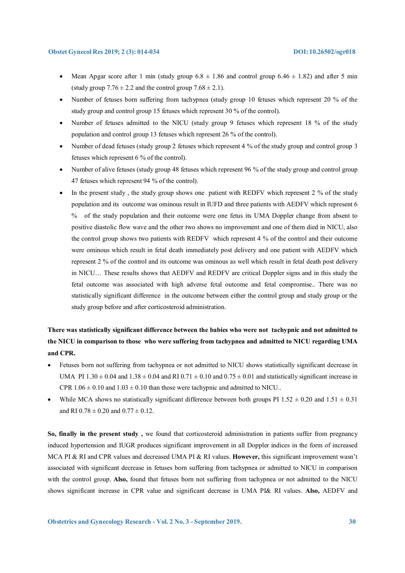- Mean Apgar score after 1 min (study group  $6.8 \pm 1.86$  and control group  $6.46 \pm 1.82$ ) and after 5 min (study group  $7.76 \pm 2.2$  and the control group  $7.68 \pm 2.1$ ).
- Number of fetuses born suffering from tachypnea (study group 10 fetuses which represent 20 % of the study group and control group 15 fetuses which represent 30 % of the control).
- Number of fetuses admitted to the NICU (study group 9 fetuses which represent 18 % of the study population and control group 13 fetuses which represent 26 % of the control).
- Number of dead fetuses (study group 2 fetuses which represent 4 % of the study group and control group 3 fetuses which represent 6 % of the control).
- Number of alive fetuses (study group 48 fetuses which represent 96 % of the study group and control group 47 fetuses which represent 94 % of the control).
- In the present study, the study group shows one patient with REDFV which represent 2 % of the study population and its outcome was ominous result in IUFD and three patients with AEDFV which represent 6 % of the study population and their outcome were one fetus its UMA Doppler change from absent to positive diastolic flow wave and the other two shows no improvement and one of them died in NICU, also the control group shows two patients with REDFV which represent 4 % of the control and their outcome were ominous which result in fetal death immediately post delivery and one patient with AEDFV which represent 2 % of the control and its outcome was ominous as well which result in fetal death post delivery in NICU… These results shows that AEDFV and REDFV are critical Doppler signs and in this study the fetal outcome was associated with high adverse fetal outcome and fetal compromise.. There was no statistically significant difference in the outcome between either the control group and study group or the study group before and after corticosteroid administration.

# **There was statistically significant difference between the babies who were not tachypnic and not admitted to the NICU in comparison to those who were suffering from tachypnea and admitted to NICU regarding UMA and CPR.**

- Fetuses born not suffering from tachypnea or not admitted to NICU shows statistically significant decrease in UMA PI  $1.30 \pm 0.04$  and  $1.38 \pm 0.04$  and RI  $0.71 \pm 0.10$  and  $0.75 \pm 0.01$  and statistically significant increase in CPR  $1.06 \pm 0.10$  and  $1.03 \pm 0.10$  than those were tachypnic and admitted to NICU..
- While MCA shows no statistically significant difference between both groups PI 1.52  $\pm$  0.20 and 1.51  $\pm$  0.31 and RI  $0.78 \pm 0.20$  and  $0.77 \pm 0.12$ .

**So, finally in the present study ,** we found that corticosteroid administration in patients suffer from pregnancy induced hypertension and IUGR produces significant improvement in all Doppler indices in the form of increased MCA PI & RI and CPR values and decreased UMA PI & RI values. **However,** this significant improvement wasn't associated with significant decrease in fetuses born suffering from tachypnea or admitted to NICU in comparison with the control group. **Also,** found that fetuses born not suffering from tachypnea or not admitted to the NICU shows significant increase in CPR value and significant decrease in UMA PI& RI values. **Also,** AEDFV and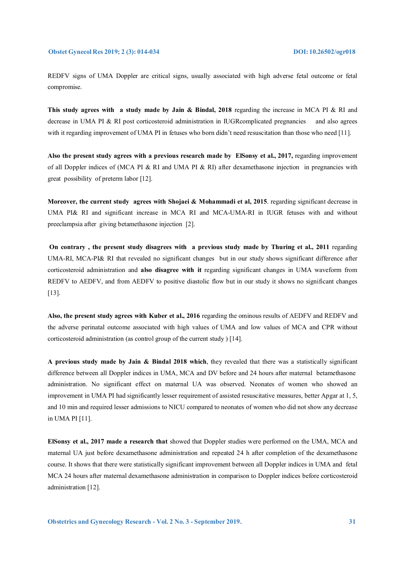REDFV signs of UMA Doppler are critical signs, usually associated with high adverse fetal outcome or fetal compromise.

**This study agrees with a study made by Jain & Bindal, 2018** regarding the increase in MCA PI & RI and decrease in UMA PI & RI post corticosteroid administration in IUGRcomplicated pregnancies and also agrees with it regarding improvement of UMA PI in fetuses who born didn't need resuscitation than those who need [11].

**Also the present study agrees with a previous research made by ElSonsy et al., 2017,** regarding improvement of all Doppler indices of (MCA PI & RI and UMA PI & RI) after dexamethasone injection in pregnancies with great possibility of preterm labor [12].

**Moreover, the current study agrees with Shojaei & Mohammadi et al, 2015**. regarding significant decrease in UMA PI& RI and significant increase in MCA RI and MCA-UMA-RI in IUGR fetuses with and without preeclampsia after giving betamethasone injection [2].

**On contrary , the present study disagrees with a previous study made by Thuring et al., 2011** regarding UMA-RI, MCA-PI& RI that revealed no significant changes but in our study shows significant difference after corticosteroid administration and **also disagree with it** regarding significant changes in UMA waveform from REDFV to AEDFV, and from AEDFV to positive diastolic flow but in our study it shows no significant changes [13].

**Also, the present study agrees with Kuber et al., 2016** regarding the ominous results of AEDFV and REDFV and the adverse perinatal outcome associated with high values of UMA and low values of MCA and CPR without corticosteroid administration (as control group of the current study ) [14].

**A previous study made by Jain & Bindal 2018 which**, they revealed that there was a statistically significant difference between all Doppler indices in UMA, MCA and DV before and 24 hours after maternal betamethasone administration. No significant effect on maternal UA was observed. Neonates of women who showed an improvement in UMA PI had significantly lesser requirement of assisted resuscitative measures, better Apgar at 1, 5, and 10 min and required lesser admissions to NICU compared to neonates of women who did not show any decrease in UMA PI [11].

**ElSonsy et al., 2017 made a research that** showed that Doppler studies were performed on the UMA, MCA and maternal UA just before dexamethasone administration and repeated 24 h after completion of the dexamethasone course. It shows that there were statistically significant improvement between all Doppler indices in UMA and fetal MCA 24 hours after maternal dexamethasone administration in comparison to Doppler indices before corticosteroid administration [12].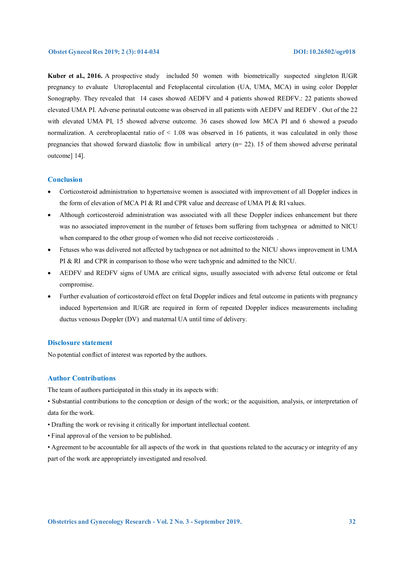**Kuber et al., 2016.** A prospective study included 50 women with biometrically suspected singleton IUGR pregnancy to evaluate Uteroplacental and Fetoplacental circulation (UA, UMA, MCA) in using color Doppler Sonography. They revealed that 14 cases showed AEDFV and 4 patients showed REDFV.: 22 patients showed elevated UMA PI. Adverse perinatal outcome was observed in all patients with AEDFV and REDFV . Out of the 22 with elevated UMA PI, 15 showed adverse outcome. 36 cases showed low MCA PI and 6 showed a pseudo normalization. A cerebroplacental ratio of < 1.08 was observed in 16 patients, it was calculated in only those pregnancies that showed forward diastolic flow in umbilical artery (n= 22). 15 of them showed adverse perinatal outcome] 14].

#### **Conclusion**

- Corticosteroid administration to hypertensive women is associated with improvement of all Doppler indices in the form of elevation of MCA PI & RI and CPR value and decrease of UMA PI & RI values.
- Although corticosteroid administration was associated with all these Doppler indices enhancement but there was no associated improvement in the number of fetuses born suffering from tachypnea or admitted to NICU when compared to the other group of women who did not receive corticosteroids .
- Fetuses who was delivered not affected by tachypnea or not admitted to the NICU shows improvement in UMA PI & RI and CPR in comparison to those who were tachypnic and admitted to the NICU.
- AEDFV and REDFV signs of UMA are critical signs, usually associated with adverse fetal outcome or fetal compromise.
- Further evaluation of corticosteroid effect on fetal Doppler indices and fetal outcome in patients with pregnancy induced hypertension and IUGR are required in form of repeated Doppler indices measurements including ductus venosus Doppler (DV) and maternal UA until time of delivery.

#### **Disclosure statement**

No potential conflict of interest was reported by the authors.

#### **Author Contributions**

The team of authors participated in this study in its aspects with:

- Substantial contributions to the conception or design of the work; or the acquisition, analysis, or interpretation of data for the work.
- Drafting the work or revising it critically for important intellectual content.
- Final approval of the version to be published.
- Agreement to be accountable for all aspects of the work in that questions related to the accuracy or integrity of any part of the work are appropriately investigated and resolved.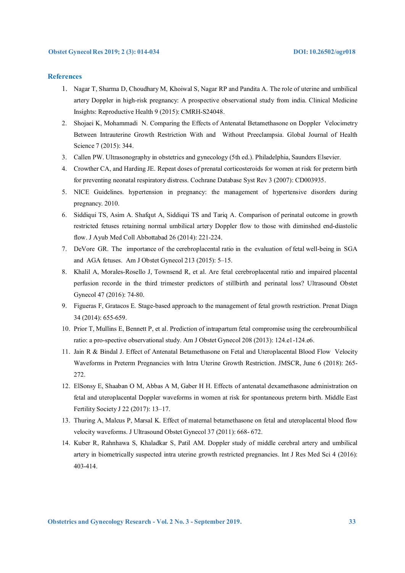#### **References**

- 1. Nagar T, Sharma D, Choudhary M, Khoiwal S, Nagar RP and Pandita A. The role of uterine and umbilical artery Doppler in high-risk pregnancy: A prospective observational study from india. Clinical Medicine Insights: Reproductive Health 9 (2015): CMRH-S24048.
- 2. Shojaei K, Mohammadi N. Comparing the Effects of Antenatal Betamethasone on Doppler Velocimetry Between Intrauterine Growth Restriction With and Without Preeclampsia. Global Journal of Health Science 7 (2015): 344.
- 3. Callen PW. Ultrasonography in obstetrics and gynecology (5th ed.). Philadelphia, Saunders Elsevier.
- 4. Crowther CA, and Harding JE. Repeat doses of prenatal corticosteroids for women at risk for preterm birth for preventing neonatal respiratory distress. Cochrane Database Syst Rev 3 (2007): CD003935.
- 5. NICE Guidelines. hypertension in pregnancy: the management of hypertensive disorders during pregnancy. 2010.
- 6. Siddiqui TS, Asim A. Shafqut A, Siddiqui TS and Tariq A. Comparison of perinatal outcome in growth restricted fetuses retaining normal umbilical artery Doppler flow to those with diminshed end-diastolic flow. J Ayub Med Coll Abbottabad 26 (2014): 221-224.
- 7. DeVore GR. The importance of the cerebroplacental ratio in the evaluation of fetal well-being in SGA and AGA fetuses. Am J Obstet Gynecol 213 (2015): 5–15.
- 8. Khalil A, Morales-Rosello J, Townsend R, et al. Are fetal cerebroplacental ratio and impaired placental perfusion recorde in the third trimester predictors of stillbirth and perinatal loss? Ultrasound Obstet Gynecol 47 (2016): 74-80.
- 9. Figueras F, Gratacos E*.* Stage-based approach to the management of fetal growth restriction. Prenat Diagn 34 (2014): 655-659.
- 10. Prior T, Mullins E, Bennett P, et al. Prediction of intrapartum fetal compromise using the cerebroumbilical ratio: a pro-spective observational study. Am J Obstet Gynecol 208 (2013): 124.e1-124.e6.
- 11. Jain R & Bindal J. Effect of Antenatal Betamethasone on Fetal and Uteroplacental Blood Flow Velocity Waveforms in Preterm Pregnancies with Intra Uterine Growth Restriction. JMSCR, June 6 (2018): 265- 272.
- 12. ElSonsy E, Shaaban O M, Abbas A M, Gaber H H. Effects of antenatal dexamethasone administration on fetal and uteroplacental Doppler waveforms in women at risk for spontaneous preterm birth. Middle East Fertility Society J 22 (2017): 13–17.
- 13. Thuring A, Malcus P, Marsal K. Effect of maternal betamethasone on fetal and uteroplacental blood flow velocity waveforms. J Ultrasound Obstet Gynecol 37 (2011): 668- 672.
- 14. Kuber R, Rahnhawa S, Khaladkar S, Patil AM. Doppler study of middle cerebral artery and umbilical artery in biometrically suspected intra uterine growth restricted pregnancies. Int J Res Med Sci 4 (2016): 403-414.